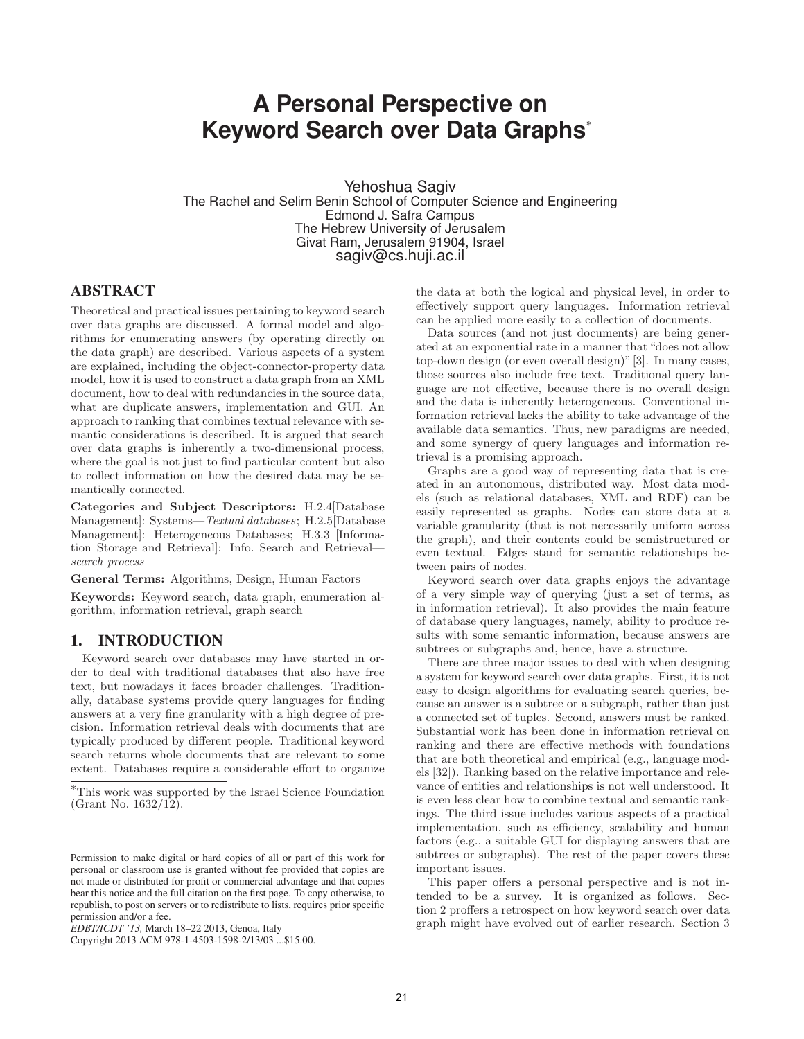# **A Personal Perspective on Keyword Search over Data Graphs**<sup>∗</sup>

Yehoshua Sagiv The Rachel and Selim Benin School of Computer Science and Engineering Edmond J. Safra Campus The Hebrew University of Jerusalem Givat Ram, Jerusalem 91904, Israel sagiv@cs.huji.ac.il

# **ABSTRACT**

Theoretical and practical issues pertaining to keyword search over data graphs are discussed. A formal model and algorithms for enumerating answers (by operating directly on the data graph) are described. Various aspects of a system are explained, including the object-connector-property data model, how it is used to construct a data graph from an XML document, how to deal with redundancies in the source data, what are duplicate answers, implementation and GUI. An approach to ranking that combines textual relevance with semantic considerations is described. It is argued that search over data graphs is inherently a two-dimensional process, where the goal is not just to find particular content but also to collect information on how the desired data may be semantically connected.

Categories and Subject Descriptors: H.2.4[Database Management]: Systems—Textual databases; H.2.5[Database Management]: Heterogeneous Databases; H.3.3 [Information Storage and Retrieval]: Info. Search and Retrieval search process

General Terms: Algorithms, Design, Human Factors

Keywords: Keyword search, data graph, enumeration algorithm, information retrieval, graph search

# **1. INTRODUCTION**

Keyword search over databases may have started in order to deal with traditional databases that also have free text, but nowadays it faces broader challenges. Traditionally, database systems provide query languages for finding answers at a very fine granularity with a high degree of precision. Information retrieval deals with documents that are typically produced by different people. Traditional keyword search returns whole documents that are relevant to some extent. Databases require a considerable effort to organize

the data at both the logical and physical level, in order to effectively support query languages. Information retrieval can be applied more easily to a collection of documents.

Data sources (and not just documents) are being generated at an exponential rate in a manner that "does not allow top-down design (or even overall design)"[3]. In many cases, those sources also include free text. Traditional query language are not effective, because there is no overall design and the data is inherently heterogeneous. Conventional information retrieval lacks the ability to take advantage of the available data semantics. Thus, new paradigms are needed, and some synergy of query languages and information retrieval is a promising approach.

Graphs are a good way of representing data that is created in an autonomous, distributed way. Most data models (such as relational databases, XML and RDF) can be easily represented as graphs. Nodes can store data at a variable granularity (that is not necessarily uniform across the graph), and their contents could be semistructured or even textual. Edges stand for semantic relationships between pairs of nodes.

Keyword search over data graphs enjoys the advantage of a very simple way of querying (just a set of terms, as in information retrieval). It also provides the main feature of database query languages, namely, ability to produce results with some semantic information, because answers are subtrees or subgraphs and, hence, have a structure.

There are three major issues to deal with when designing a system for keyword search over data graphs. First, it is not easy to design algorithms for evaluating search queries, because an answer is a subtree or a subgraph, rather than just a connected set of tuples. Second, answers must be ranked. Substantial work has been done in information retrieval on ranking and there are effective methods with foundations that are both theoretical and empirical (e.g., language models [32]). Ranking based on the relative importance and relevance of entities and relationships is not well understood. It is even less clear how to combine textual and semantic rankings. The third issue includes various aspects of a practical implementation, such as efficiency, scalability and human factors (e.g., a suitable GUI for displaying answers that are subtrees or subgraphs). The rest of the paper covers these important issues.

This paper offers a personal perspective and is not intended to be a survey. It is organized as follows. Section 2 proffers a retrospect on how keyword search over data graph might have evolved out of earlier research. Section 3

<sup>∗</sup>This work was supported by the Israel Science Foundation (Grant No. 1632/12).

Permission to make digital or hard copies of all or part of this work for personal or classroom use is granted without fee provided that copies are not made or distributed for profit or commercial advantage and that copies bear this notice and the full citation on the first page. To copy otherwise, to republish, to post on servers or to redistribute to lists, requires prior specific permission and/or a fee.

*EDBT/ICDT '13,* March 18–22 2013, Genoa, Italy

Copyright 2013 ACM 978-1-4503-1598-2/13/03 ...\$15.00.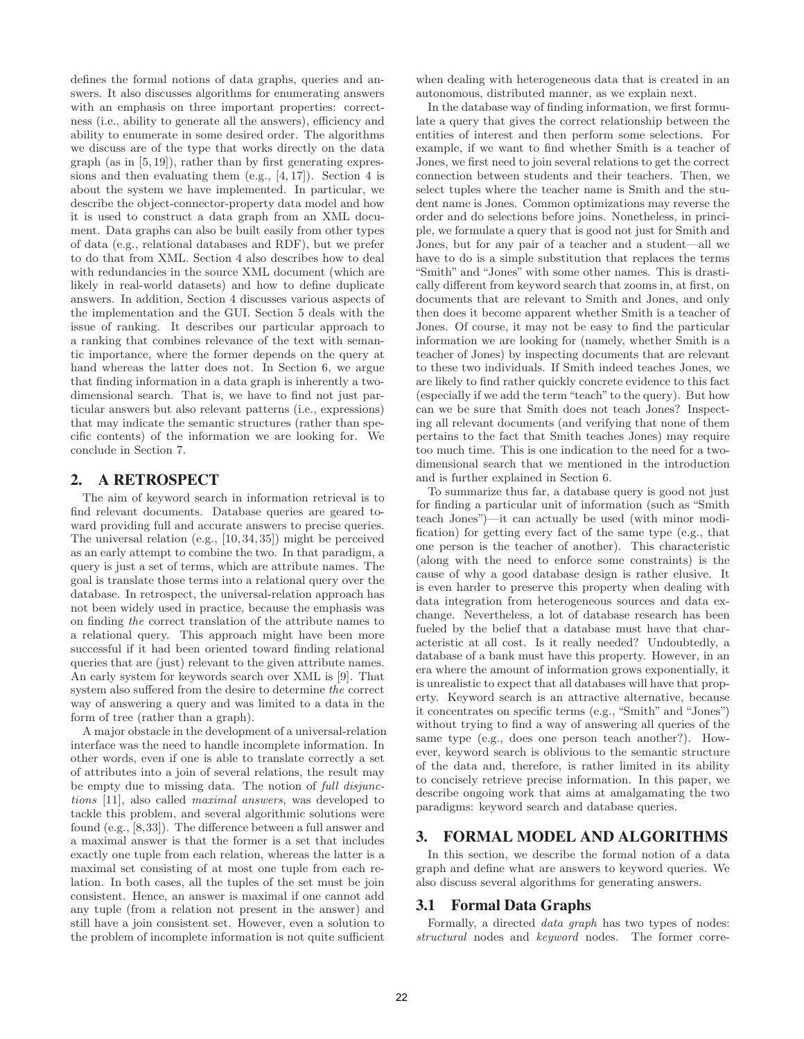defines the formal notions of data graphs, queries and answers. It also discusses algorithms for enumerating answers with an emphasis on three important properties: correctness (i.e., ability to generate all the answers), efficiency and ability to enumerate in some desired order. The algorithms we discuss are of the type that works directly on the data  $graph$  (as in  $[5, 19]$ ), rather than by first generating expressions and then evaluating them  $(e.g., [4, 17])$ . Section 4 is about the system we have implemented. In particular, we describe the object-connector-property data model and how it is used to construct a data graph from an XML document. Data graphs can also be built easily from other types of data (e.g., relational databases and RDF), but we prefer to do that from XML. Section 4 also describes how to deal with redundancies in the source XML document (which are likely in real-world datasets) and how to define duplicate answers. In addition, Section 4 discusses various aspects of the implementation and the GUI. Section 5 deals with the issue of ranking. It describes our particular approach to a ranking that combines relevance of the text with semantic importance, where the former depends on the query at hand whereas the latter does not. In Section 6, we argue that finding information in a data graph is inherently a twodimensional search. That is, we have to find not just particular answers but also relevant patterns (i.e., expressions) that may indicate the semantic structures (rather than specific contents) of the information we are looking for. We conclude in Section 7.

# **2. A RETROSPECT**

The aim of keyword search in information retrieval is to find relevant documents. Database queries are geared toward providing full and accurate answers to precise queries. The universal relation (e.g., [10, 34, 35]) might be perceived as an early attempt to combine the two. In that paradigm, a query is just a set of terms, which are attribute names. The goal is translate those terms into a relational query over the database. In retrospect, the universal-relation approach has not been widely used in practice, because the emphasis was on finding the correct translation of the attribute names to a relational query. This approach might have been more successful if it had been oriented toward finding relational queries that are (just) relevant to the given attribute names. An early system for keywords search over XML is [9]. That system also suffered from the desire to determine the correct way of answering a query and was limited to a data in the form of tree (rather than a graph).

A major obstacle in the development of a universal-relation interface was the need to handle incomplete information. In other words, even if one is able to translate correctly a set of attributes into a join of several relations, the result may be empty due to missing data. The notion of full disjunctions [11], also called maximal answers, was developed to tackle this problem, and several algorithmic solutions were found (e.g., [8,33]). The difference between a full answer and a maximal answer is that the former is a set that includes exactly one tuple from each relation, whereas the latter is a maximal set consisting of at most one tuple from each relation. In both cases, all the tuples of the set must be join consistent. Hence, an answer is maximal if one cannot add any tuple (from a relation not present in the answer) and still have a join consistent set. However, even a solution to the problem of incomplete information is not quite sufficient

when dealing with heterogeneous data that is created in an autonomous, distributed manner, as we explain next.

In the database way of finding information, we first formulate a query that gives the correct relationship between the entities of interest and then perform some selections. For example, if we want to find whether Smith is a teacher of Jones, we first need to join several relations to get the correct connection between students and their teachers. Then, we select tuples where the teacher name is Smith and the student name is Jones. Common optimizations may reverse the order and do selections before joins. Nonetheless, in principle, we formulate a query that is good not just for Smith and Jones, but for any pair of a teacher and a student—all we have to do is a simple substitution that replaces the terms "Smith" and "Jones" with some other names. This is drastically different from keyword search that zooms in, at first, on documents that are relevant to Smith and Jones, and only then does it become apparent whether Smith is a teacher of Jones. Of course, it may not be easy to find the particular information we are looking for (namely, whether Smith is a teacher of Jones) by inspecting documents that are relevant to these two individuals. If Smith indeed teaches Jones, we are likely to find rather quickly concrete evidence to this fact (especially if we add the term "teach" to the query). But how can we be sure that Smith does not teach Jones? Inspecting all relevant documents (and verifying that none of them pertains to the fact that Smith teaches Jones) may require too much time. This is one indication to the need for a twodimensional search that we mentioned in the introduction and is further explained in Section 6.

To summarize thus far, a database query is good not just for finding a particular unit of information (such as "Smith teach Jones")—it can actually be used (with minor modification) for getting every fact of the same type (e.g., that one person is the teacher of another). This characteristic (along with the need to enforce some constraints) is the cause of why a good database design is rather elusive. It is even harder to preserve this property when dealing with data integration from heterogeneous sources and data exchange. Nevertheless, a lot of database research has been fueled by the belief that a database must have that characteristic at all cost. Is it really needed? Undoubtedly, a database of a bank must have this property. However, in an era where the amount of information grows exponentially, it is unrealistic to expect that all databases will have that property. Keyword search is an attractive alternative, because it concentrates on specific terms (e.g., "Smith" and "Jones") without trying to find a way of answering all queries of the same type (e.g., does one person teach another?). However, keyword search is oblivious to the semantic structure of the data and, therefore, is rather limited in its ability to concisely retrieve precise information. In this paper, we describe ongoing work that aims at amalgamating the two paradigms: keyword search and database queries.

# **3. FORMAL MODEL AND ALGORITHMS**

In this section, we describe the formal notion of a data graph and define what are answers to keyword queries. We also discuss several algorithms for generating answers.

# **3.1 Formal Data Graphs**

Formally, a directed data graph has two types of nodes: structural nodes and keyword nodes. The former corre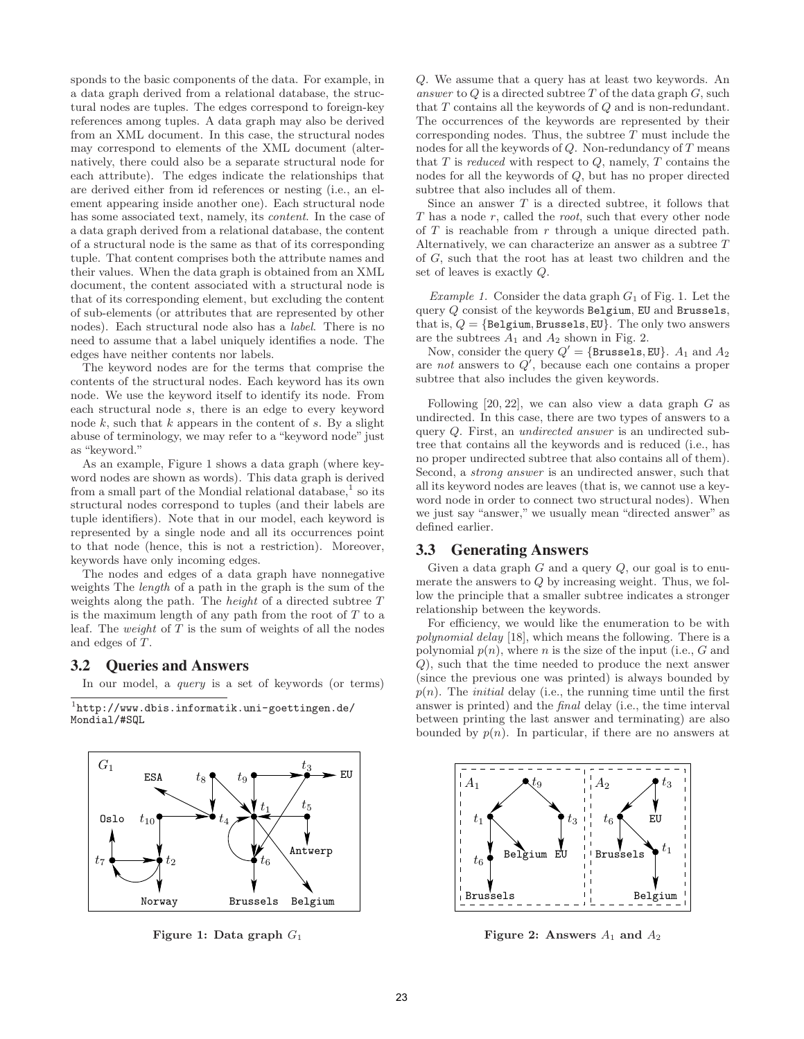sponds to the basic components of the data. For example, in a data graph derived from a relational database, the structural nodes are tuples. The edges correspond to foreign-key references among tuples. A data graph may also be derived from an XML document. In this case, the structural nodes may correspond to elements of the XML document (alternatively, there could also be a separate structural node for each attribute). The edges indicate the relationships that are derived either from id references or nesting (i.e., an element appearing inside another one). Each structural node has some associated text, namely, its *content*. In the case of a data graph derived from a relational database, the content of a structural node is the same as that of its corresponding tuple. That content comprises both the attribute names and their values. When the data graph is obtained from an XML document, the content associated with a structural node is that of its corresponding element, but excluding the content of sub-elements (or attributes that are represented by other nodes). Each structural node also has a label. There is no need to assume that a label uniquely identifies a node. The edges have neither contents nor labels.

The keyword nodes are for the terms that comprise the contents of the structural nodes. Each keyword has its own node. We use the keyword itself to identify its node. From each structural node s, there is an edge to every keyword node  $k$ , such that  $k$  appears in the content of  $s$ . By a slight abuse of terminology, we may refer to a "keyword node" just as "keyword."

As an example, Figure 1 shows a data graph (where keyword nodes are shown as words). This data graph is derived from a small part of the Mondial relational database,<sup>1</sup> so its structural nodes correspond to tuples (and their labels are tuple identifiers). Note that in our model, each keyword is represented by a single node and all its occurrences point to that node (hence, this is not a restriction). Moreover, keywords have only incoming edges.

The nodes and edges of a data graph have nonnegative weights The length of a path in the graph is the sum of the weights along the path. The height of a directed subtree T is the maximum length of any path from the root of  $T$  to a leaf. The *weight* of  $T$  is the sum of weights of all the nodes and edges of T.

## **3.2 Queries and Answers**

In our model, a query is a set of keywords (or terms)

1 http://www.dbis.informatik.uni-goettingen.de/ Mondial/#SQL



Figure 1: Data graph  $G_1$ 

Q. We assume that a query has at least two keywords. An answer to  $Q$  is a directed subtree  $T$  of the data graph  $G$ , such that T contains all the keywords of Q and is non-redundant. The occurrences of the keywords are represented by their corresponding nodes. Thus, the subtree  $T$  must include the nodes for all the keywords of  $Q$ . Non-redundancy of  $T$  means that  $T$  is *reduced* with respect to  $Q$ , namely,  $T$  contains the nodes for all the keywords of Q, but has no proper directed subtree that also includes all of them.

Since an answer  $T$  is a directed subtree, it follows that T has a node r, called the root, such that every other node of  $T$  is reachable from  $r$  through a unique directed path. Alternatively, we can characterize an answer as a subtree T of G, such that the root has at least two children and the set of leaves is exactly Q.

Example 1. Consider the data graph  $G_1$  of Fig. 1. Let the query Q consist of the keywords Belgium, EU and Brussels, that is,  $Q = \{\texttt{Belgium}, \texttt{Brussels}, \texttt{EU}\}.$  The only two answers are the subtrees  $A_1$  and  $A_2$  shown in Fig. 2.

Now, consider the query  $Q' = \{ \texttt{Brussels}, \texttt{EU} \}.$   $A_1$  and  $A_2$ are not answers to  $Q'$ , because each one contains a proper subtree that also includes the given keywords.

Following  $[20, 22]$ , we can also view a data graph G as undirected. In this case, there are two types of answers to a query Q. First, an undirected answer is an undirected subtree that contains all the keywords and is reduced (i.e., has no proper undirected subtree that also contains all of them). Second, a strong answer is an undirected answer, such that all its keyword nodes are leaves (that is, we cannot use a keyword node in order to connect two structural nodes). When we just say "answer," we usually mean "directed answer" as defined earlier.

#### **3.3 Generating Answers**

Given a data graph  $G$  and a query  $Q$ , our goal is to enumerate the answers to Q by increasing weight. Thus, we follow the principle that a smaller subtree indicates a stronger relationship between the keywords.

For efficiency, we would like the enumeration to be with polynomial delay [18], which means the following. There is a polynomial  $p(n)$ , where n is the size of the input (i.e., G and Q), such that the time needed to produce the next answer (since the previous one was printed) is always bounded by  $p(n)$ . The *initial* delay (i.e., the running time until the first answer is printed) and the final delay (i.e., the time interval between printing the last answer and terminating) are also bounded by  $p(n)$ . In particular, if there are no answers at



Figure 2: Answers  $A_1$  and  $A_2$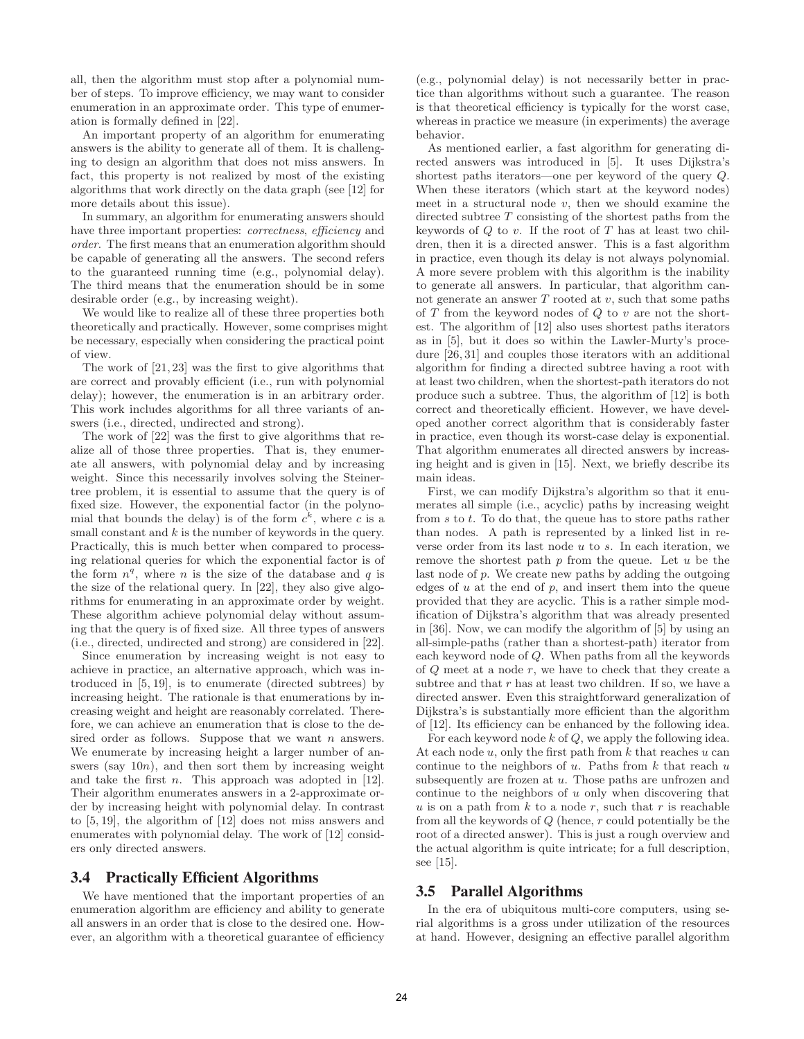all, then the algorithm must stop after a polynomial number of steps. To improve efficiency, we may want to consider enumeration in an approximate order. This type of enumeration is formally defined in [22].

An important property of an algorithm for enumerating answers is the ability to generate all of them. It is challenging to design an algorithm that does not miss answers. In fact, this property is not realized by most of the existing algorithms that work directly on the data graph (see [12] for more details about this issue).

In summary, an algorithm for enumerating answers should have three important properties: *correctness*, *efficiency* and order. The first means that an enumeration algorithm should be capable of generating all the answers. The second refers to the guaranteed running time (e.g., polynomial delay). The third means that the enumeration should be in some desirable order (e.g., by increasing weight).

We would like to realize all of these three properties both theoretically and practically. However, some comprises might be necessary, especially when considering the practical point of view.

The work of [21, 23] was the first to give algorithms that are correct and provably efficient (i.e., run with polynomial delay); however, the enumeration is in an arbitrary order. This work includes algorithms for all three variants of answers (i.e., directed, undirected and strong).

The work of [22] was the first to give algorithms that realize all of those three properties. That is, they enumerate all answers, with polynomial delay and by increasing weight. Since this necessarily involves solving the Steinertree problem, it is essential to assume that the query is of fixed size. However, the exponential factor (in the polynomial that bounds the delay) is of the form  $c^k$ , where c is a small constant and  $k$  is the number of keywords in the query. Practically, this is much better when compared to processing relational queries for which the exponential factor is of the form  $n^q$ , where n is the size of the database and q is the size of the relational query. In [22], they also give algorithms for enumerating in an approximate order by weight. These algorithm achieve polynomial delay without assuming that the query is of fixed size. All three types of answers (i.e., directed, undirected and strong) are considered in [22].

Since enumeration by increasing weight is not easy to achieve in practice, an alternative approach, which was introduced in [5, 19], is to enumerate (directed subtrees) by increasing height. The rationale is that enumerations by increasing weight and height are reasonably correlated. Therefore, we can achieve an enumeration that is close to the desired order as follows. Suppose that we want  $n$  answers. We enumerate by increasing height a larger number of answers (say  $10n$ ), and then sort them by increasing weight and take the first  $n$ . This approach was adopted in [12]. Their algorithm enumerates answers in a 2-approximate order by increasing height with polynomial delay. In contrast to [5, 19], the algorithm of [12] does not miss answers and enumerates with polynomial delay. The work of [12] considers only directed answers.

## **3.4 Practically Efficient Algorithms**

We have mentioned that the important properties of an enumeration algorithm are efficiency and ability to generate all answers in an order that is close to the desired one. However, an algorithm with a theoretical guarantee of efficiency

(e.g., polynomial delay) is not necessarily better in practice than algorithms without such a guarantee. The reason is that theoretical efficiency is typically for the worst case, whereas in practice we measure (in experiments) the average behavior.

As mentioned earlier, a fast algorithm for generating directed answers was introduced in [5]. It uses Dijkstra's shortest paths iterators—one per keyword of the query Q. When these iterators (which start at the keyword nodes) meet in a structural node  $v$ , then we should examine the directed subtree  $T$  consisting of the shortest paths from the keywords of  $Q$  to  $v$ . If the root of  $T$  has at least two children, then it is a directed answer. This is a fast algorithm in practice, even though its delay is not always polynomial. A more severe problem with this algorithm is the inability to generate all answers. In particular, that algorithm cannot generate an answer  $T$  rooted at  $v$ , such that some paths of  $T$  from the keyword nodes of  $Q$  to  $v$  are not the shortest. The algorithm of [12] also uses shortest paths iterators as in [5], but it does so within the Lawler-Murty's procedure [26, 31] and couples those iterators with an additional algorithm for finding a directed subtree having a root with at least two children, when the shortest-path iterators do not produce such a subtree. Thus, the algorithm of [12] is both correct and theoretically efficient. However, we have developed another correct algorithm that is considerably faster in practice, even though its worst-case delay is exponential. That algorithm enumerates all directed answers by increasing height and is given in [15]. Next, we briefly describe its main ideas.

First, we can modify Dijkstra's algorithm so that it enumerates all simple (i.e., acyclic) paths by increasing weight from  $s$  to  $t$ . To do that, the queue has to store paths rather than nodes. A path is represented by a linked list in reverse order from its last node u to s. In each iteration, we remove the shortest path  $p$  from the queue. Let  $u$  be the last node of p. We create new paths by adding the outgoing edges of  $u$  at the end of  $p$ , and insert them into the queue provided that they are acyclic. This is a rather simple modification of Dijkstra's algorithm that was already presented in [36]. Now, we can modify the algorithm of [5] by using an all-simple-paths (rather than a shortest-path) iterator from each keyword node of Q. When paths from all the keywords of  $Q$  meet at a node  $r$ , we have to check that they create a subtree and that  $r$  has at least two children. If so, we have a directed answer. Even this straightforward generalization of Dijkstra's is substantially more efficient than the algorithm of [12]. Its efficiency can be enhanced by the following idea.

For each keyword node  $k$  of  $Q$ , we apply the following idea. At each node  $u$ , only the first path from  $k$  that reaches  $u$  can continue to the neighbors of  $u$ . Paths from  $k$  that reach  $u$ subsequently are frozen at  $u$ . Those paths are unfrozen and continue to the neighbors of  $u$  only when discovering that u is on a path from  $k$  to a node  $r$ , such that  $r$  is reachable from all the keywords of Q (hence, r could potentially be the root of a directed answer). This is just a rough overview and the actual algorithm is quite intricate; for a full description, see [15].

## **3.5 Parallel Algorithms**

In the era of ubiquitous multi-core computers, using serial algorithms is a gross under utilization of the resources at hand. However, designing an effective parallel algorithm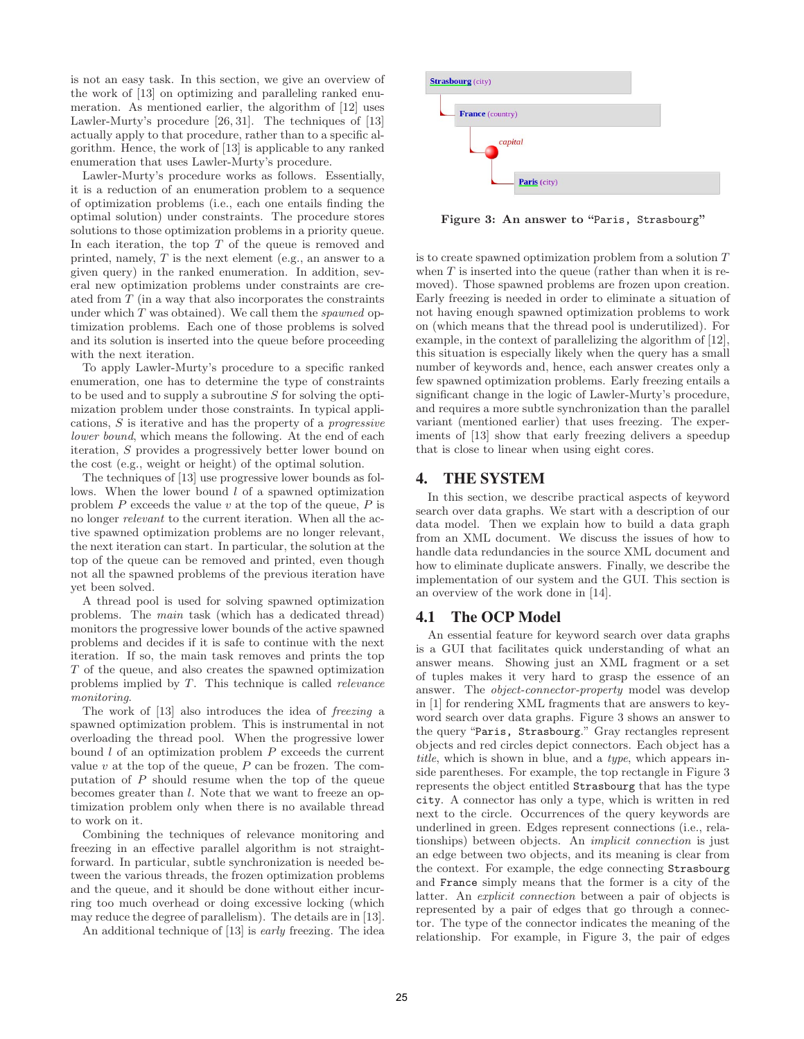is not an easy task. In this section, we give an overview of the work of [13] on optimizing and paralleling ranked enumeration. As mentioned earlier, the algorithm of [12] uses Lawler-Murty's procedure [26, 31]. The techniques of [13] actually apply to that procedure, rather than to a specific algorithm. Hence, the work of [13] is applicable to any ranked enumeration that uses Lawler-Murty's procedure.

Lawler-Murty's procedure works as follows. Essentially, it is a reduction of an enumeration problem to a sequence of optimization problems (i.e., each one entails finding the optimal solution) under constraints. The procedure stores solutions to those optimization problems in a priority queue. In each iteration, the top  $T$  of the queue is removed and printed, namely, T is the next element (e.g., an answer to a given query) in the ranked enumeration. In addition, several new optimization problems under constraints are created from T (in a way that also incorporates the constraints under which  $T$  was obtained). We call them the *spawned* optimization problems. Each one of those problems is solved and its solution is inserted into the queue before proceeding with the next iteration.

To apply Lawler-Murty's procedure to a specific ranked enumeration, one has to determine the type of constraints to be used and to supply a subroutine S for solving the optimization problem under those constraints. In typical applications, S is iterative and has the property of a progressive lower bound, which means the following. At the end of each iteration, S provides a progressively better lower bound on the cost (e.g., weight or height) of the optimal solution.

The techniques of [13] use progressive lower bounds as follows. When the lower bound  $l$  of a spawned optimization problem  $P$  exceeds the value  $v$  at the top of the queue,  $P$  is no longer relevant to the current iteration. When all the active spawned optimization problems are no longer relevant, the next iteration can start. In particular, the solution at the top of the queue can be removed and printed, even though not all the spawned problems of the previous iteration have yet been solved.

A thread pool is used for solving spawned optimization problems. The main task (which has a dedicated thread) monitors the progressive lower bounds of the active spawned problems and decides if it is safe to continue with the next iteration. If so, the main task removes and prints the top T of the queue, and also creates the spawned optimization problems implied by T. This technique is called relevance monitoring.

The work of [13] also introduces the idea of freezing a spawned optimization problem. This is instrumental in not overloading the thread pool. When the progressive lower bound  $l$  of an optimization problem  $P$  exceeds the current value  $v$  at the top of the queue,  $P$  can be frozen. The computation of  $P$  should resume when the top of the queue becomes greater than l. Note that we want to freeze an optimization problem only when there is no available thread to work on it.

Combining the techniques of relevance monitoring and freezing in an effective parallel algorithm is not straightforward. In particular, subtle synchronization is needed between the various threads, the frozen optimization problems and the queue, and it should be done without either incurring too much overhead or doing excessive locking (which may reduce the degree of parallelism). The details are in [13].

An additional technique of [13] is early freezing. The idea



Figure 3: An answer to "Paris, Strasbourg"

is to create spawned optimization problem from a solution T when  $T$  is inserted into the queue (rather than when it is removed). Those spawned problems are frozen upon creation. Early freezing is needed in order to eliminate a situation of not having enough spawned optimization problems to work on (which means that the thread pool is underutilized). For example, in the context of parallelizing the algorithm of [12], this situation is especially likely when the query has a small number of keywords and, hence, each answer creates only a few spawned optimization problems. Early freezing entails a significant change in the logic of Lawler-Murty's procedure, and requires a more subtle synchronization than the parallel variant (mentioned earlier) that uses freezing. The experiments of [13] show that early freezing delivers a speedup that is close to linear when using eight cores.

## **4. THE SYSTEM**

In this section, we describe practical aspects of keyword search over data graphs. We start with a description of our data model. Then we explain how to build a data graph from an XML document. We discuss the issues of how to handle data redundancies in the source XML document and how to eliminate duplicate answers. Finally, we describe the implementation of our system and the GUI. This section is an overview of the work done in [14].

#### **4.1 The OCP Model**

An essential feature for keyword search over data graphs is a GUI that facilitates quick understanding of what an answer means. Showing just an XML fragment or a set of tuples makes it very hard to grasp the essence of an answer. The object-connector-property model was develop in [1] for rendering XML fragments that are answers to keyword search over data graphs. Figure 3 shows an answer to the query "Paris, Strasbourg." Gray rectangles represent objects and red circles depict connectors. Each object has a title, which is shown in blue, and a type, which appears inside parentheses. For example, the top rectangle in Figure 3 represents the object entitled Strasbourg that has the type city. A connector has only a type, which is written in red next to the circle. Occurrences of the query keywords are underlined in green. Edges represent connections (i.e., relationships) between objects. An implicit connection is just an edge between two objects, and its meaning is clear from the context. For example, the edge connecting Strasbourg and France simply means that the former is a city of the latter. An explicit connection between a pair of objects is represented by a pair of edges that go through a connector. The type of the connector indicates the meaning of the relationship. For example, in Figure 3, the pair of edges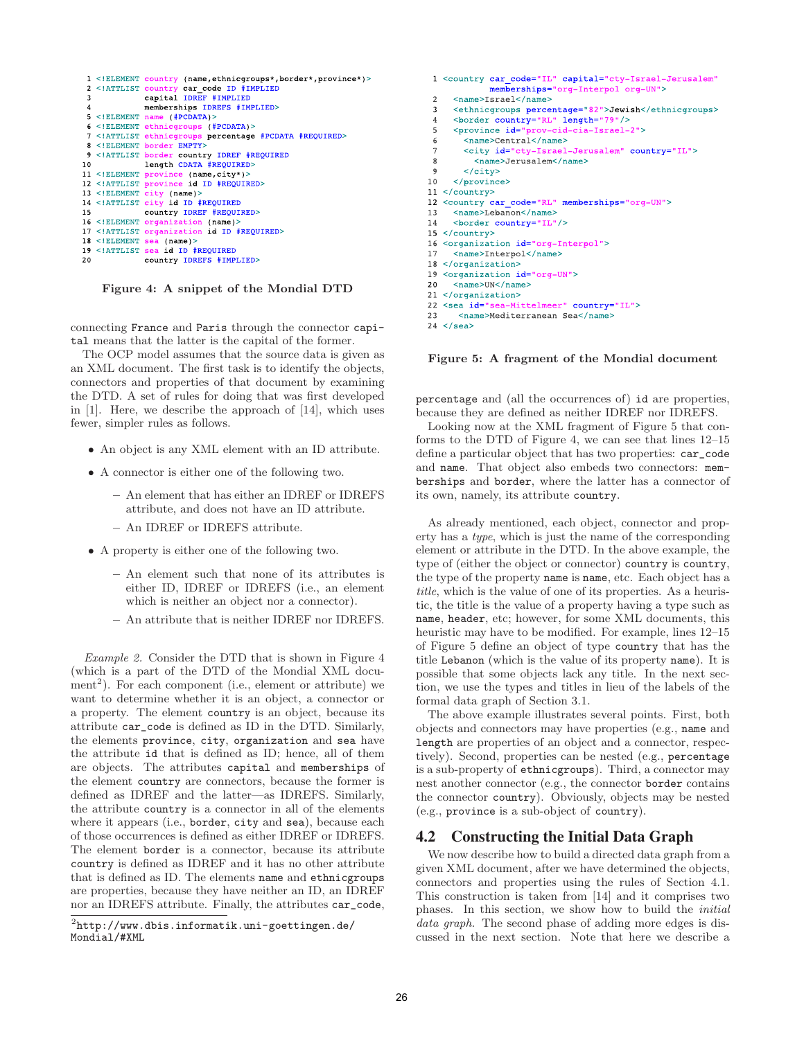

Figure 4: A snippet of the Mondial DTD

connecting France and Paris through the connector capital means that the latter is the capital of the former.

The OCP model assumes that the source data is given as an XML document. The first task is to identify the objects, connectors and properties of that document by examining the DTD. A set of rules for doing that was first developed in [1]. Here, we describe the approach of [14], which uses fewer, simpler rules as follows.

- An object is any XML element with an ID attribute.
- A connector is either one of the following two.
	- An element that has either an IDREF or IDREFS attribute, and does not have an ID attribute.
	- An IDREF or IDREFS attribute.
- A property is either one of the following two.
	- An element such that none of its attributes is either ID, IDREF or IDREFS (i.e., an element which is neither an object nor a connector).
	- An attribute that is neither IDREF nor IDREFS.

Example 2. Consider the DTD that is shown in Figure 4 (which is a part of the DTD of the Mondial XML docu $m$ ent<sup>2</sup>). For each component (i.e., element or attribute) we want to determine whether it is an object, a connector or a property. The element country is an object, because its attribute car\_code is defined as ID in the DTD. Similarly, the elements province, city, organization and sea have the attribute id that is defined as ID; hence, all of them are objects. The attributes capital and memberships of the element country are connectors, because the former is defined as IDREF and the latter—as IDREFS. Similarly, the attribute country is a connector in all of the elements where it appears (i.e., border, city and sea), because each of those occurrences is defined as either IDREF or IDREFS. The element border is a connector, because its attribute country is defined as IDREF and it has no other attribute that is defined as ID. The elements name and ethnicgroups are properties, because they have neither an ID, an IDREF nor an IDREFS attribute. Finally, the attributes car\_code,

```
1 <country car_code="IL" capital="cty-Israel-Jerusalem"
             memberships="org-Interpol org-UN">
 \mathcal{L}<name>Israel</name>
 \mathbf{3}<ethnicgroups percentage="82">Jewish</ethnicgroups>
     <border country="RL" length="79"/>
 \overline{4}<province id="prov-cid-cia-Israel-2">
 \overline{5}6
        <name>Central</name>
 \overline{7}<city_id="cty-Israel-Jerusalem"_country="IL">
 8
          <name>Jerusalem</name>
        \langle/city>
 \mathbf{Q}10
     </province>
11 </country>
12 <country car code="RL" memberships="org-UN">
13
     <name>Lebanon</name>
     <border country="IL"/>
14
15 </country>
16 <organization id="org-Interpol">
     <name>Interpol</name>
17
18 </organization>
19 <organization id="org-UN">
     <name>UN</name>
2021 </organization>
22 <sea id="sea-Mittelmeer" country="IL">
23<name>Mediterranean Sea</name>
```
Figure 5: A fragment of the Mondial document

percentage and (all the occurrences of) id are properties, because they are defined as neither IDREF nor IDREFS.

Looking now at the XML fragment of Figure 5 that conforms to the DTD of Figure 4, we can see that lines 12–15 define a particular object that has two properties: car\_code and name. That object also embeds two connectors: memberships and border, where the latter has a connector of its own, namely, its attribute country.

As already mentioned, each object, connector and property has a type, which is just the name of the corresponding element or attribute in the DTD. In the above example, the type of (either the object or connector) country is country, the type of the property name is name, etc. Each object has a title, which is the value of one of its properties. As a heuristic, the title is the value of a property having a type such as name, header, etc; however, for some XML documents, this heuristic may have to be modified. For example, lines  $12-15$ of Figure 5 define an object of type country that has the title Lebanon (which is the value of its property name). It is possible that some objects lack any title. In the next section, we use the types and titles in lieu of the labels of the formal data graph of Section 3.1.

The above example illustrates several points. First, both objects and connectors may have properties (e.g., name and length are properties of an object and a connector, respectively). Second, properties can be nested (e.g., percentage is a sub-property of ethnicgroups). Third, a connector may nest another connector (e.g., the connector border contains the connector country). Obviously, objects may be nested (e.g., province is a sub-object of country).

#### **4.2 Constructing the Initial Data Graph**

We now describe how to build a directed data graph from a given XML document, after we have determined the objects, connectors and properties using the rules of Section 4.1. This construction is taken from [14] and it comprises two phases. In this section, we show how to build the initial data graph. The second phase of adding more edges is discussed in the next section. Note that here we describe a

 $^{2}$ http://www.dbis.informatik.uni-goettingen.de/ Mondial/#XML

 $24 \le$ /sea>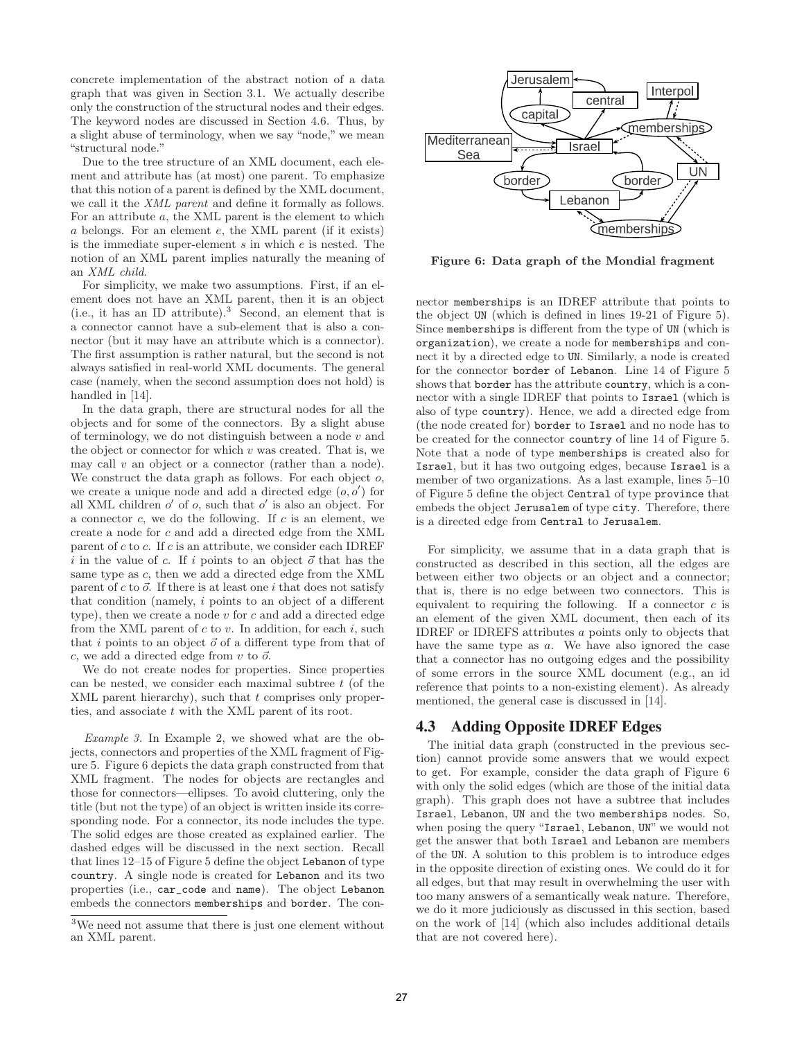concrete implementation of the abstract notion of a data graph that was given in Section 3.1. We actually describe only the construction of the structural nodes and their edges. The keyword nodes are discussed in Section 4.6. Thus, by a slight abuse of terminology, when we say "node," we mean "structural node."

Due to the tree structure of an XML document, each element and attribute has (at most) one parent. To emphasize that this notion of a parent is defined by the XML document, we call it the XML parent and define it formally as follows. For an attribute a, the XML parent is the element to which a belongs. For an element e, the XML parent (if it exists) is the immediate super-element  $s$  in which  $e$  is nested. The notion of an XML parent implies naturally the meaning of an XML child.

For simplicity, we make two assumptions. First, if an element does not have an XML parent, then it is an object (i.e., it has an ID attribute).<sup>3</sup> Second, an element that is a connector cannot have a sub-element that is also a connector (but it may have an attribute which is a connector). The first assumption is rather natural, but the second is not always satisfied in real-world XML documents. The general case (namely, when the second assumption does not hold) is handled in [14].

In the data graph, there are structural nodes for all the objects and for some of the connectors. By a slight abuse of terminology, we do not distinguish between a node  $v$  and the object or connector for which  $v$  was created. That is, we may call  $v$  an object or a connector (rather than a node). We construct the data graph as follows. For each object  $o$ , we create a unique node and add a directed edge  $(o, o')$  for all XML children  $o'$  of  $o$ , such that  $o'$  is also an object. For a connector  $c$ , we do the following. If  $c$  is an element, we create a node for c and add a directed edge from the XML parent of  $c$  to  $c$ . If  $c$  is an attribute, we consider each IDREF i in the value of c. If i points to an object  $\vec{o}$  that has the same type as c, then we add a directed edge from the XML parent of c to  $\vec{o}$ . If there is at least one i that does not satisfy that condition (namely, i points to an object of a different type), then we create a node  $v$  for  $c$  and add a directed edge from the XML parent of  $c$  to  $v$ . In addition, for each  $i$ , such that i points to an object  $\vec{o}$  of a different type from that of  $c$ , we add a directed edge from  $v$  to  $\vec{o}$ .

We do not create nodes for properties. Since properties can be nested, we consider each maximal subtree  $t$  (of the XML parent hierarchy), such that  $t$  comprises only properties, and associate t with the XML parent of its root.

Example 3. In Example 2, we showed what are the objects, connectors and properties of the XML fragment of Figure 5. Figure 6 depicts the data graph constructed from that XML fragment. The nodes for objects are rectangles and those for connectors—ellipses. To avoid cluttering, only the title (but not the type) of an object is written inside its corresponding node. For a connector, its node includes the type. The solid edges are those created as explained earlier. The dashed edges will be discussed in the next section. Recall that lines 12–15 of Figure 5 define the object Lebanon of type country. A single node is created for Lebanon and its two properties (i.e., car\_code and name). The object Lebanon embeds the connectors memberships and border. The con-



Figure 6: Data graph of the Mondial fragment

nector memberships is an IDREF attribute that points to the object UN (which is defined in lines 19-21 of Figure 5). Since memberships is different from the type of UN (which is organization), we create a node for memberships and connect it by a directed edge to UN. Similarly, a node is created for the connector border of Lebanon. Line 14 of Figure 5 shows that border has the attribute country, which is a connector with a single IDREF that points to Israel (which is also of type country). Hence, we add a directed edge from (the node created for) border to Israel and no node has to be created for the connector country of line 14 of Figure 5. Note that a node of type memberships is created also for Israel, but it has two outgoing edges, because Israel is a member of two organizations. As a last example, lines 5–10 of Figure 5 define the object Central of type province that embeds the object Jerusalem of type city. Therefore, there is a directed edge from Central to Jerusalem.

For simplicity, we assume that in a data graph that is constructed as described in this section, all the edges are between either two objects or an object and a connector; that is, there is no edge between two connectors. This is equivalent to requiring the following. If a connector  $c$  is an element of the given XML document, then each of its IDREF or IDREFS attributes a points only to objects that have the same type as a. We have also ignored the case that a connector has no outgoing edges and the possibility of some errors in the source XML document (e.g., an id reference that points to a non-existing element). As already mentioned, the general case is discussed in [14].

# **4.3 Adding Opposite IDREF Edges**

The initial data graph (constructed in the previous section) cannot provide some answers that we would expect to get. For example, consider the data graph of Figure 6 with only the solid edges (which are those of the initial data graph). This graph does not have a subtree that includes Israel, Lebanon, UN and the two memberships nodes. So, when posing the query "Israel, Lebanon, UN" we would not get the answer that both Israel and Lebanon are members of the UN. A solution to this problem is to introduce edges in the opposite direction of existing ones. We could do it for all edges, but that may result in overwhelming the user with too many answers of a semantically weak nature. Therefore, we do it more judiciously as discussed in this section, based on the work of [14] (which also includes additional details that are not covered here).

<sup>3</sup>We need not assume that there is just one element without an XML parent.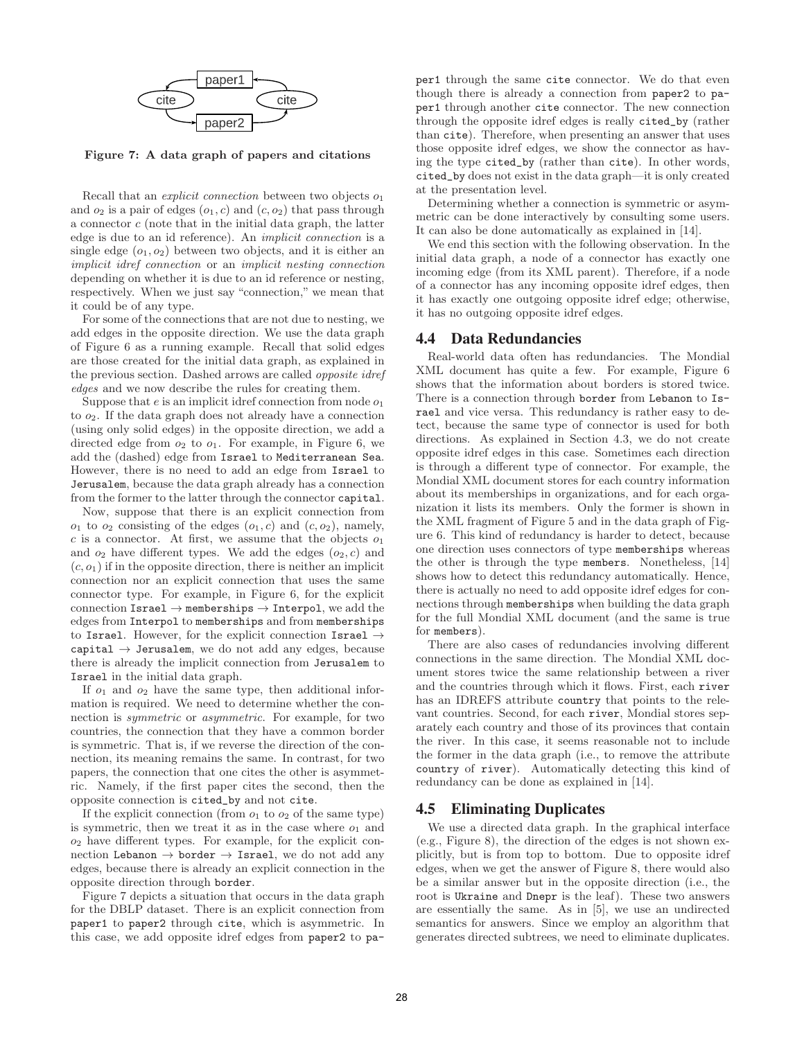

Figure 7: A data graph of papers and citations

Recall that an *explicit connection* between two objects  $o_1$ and  $o_2$  is a pair of edges  $(o_1, c)$  and  $(c, o_2)$  that pass through a connector c (note that in the initial data graph, the latter edge is due to an id reference). An implicit connection is a single edge  $(o_1, o_2)$  between two objects, and it is either an implicit idref connection or an implicit nesting connection depending on whether it is due to an id reference or nesting, respectively. When we just say "connection," we mean that it could be of any type.

For some of the connections that are not due to nesting, we add edges in the opposite direction. We use the data graph of Figure 6 as a running example. Recall that solid edges are those created for the initial data graph, as explained in the previous section. Dashed arrows are called opposite idref edges and we now describe the rules for creating them.

Suppose that  $e$  is an implicit idref connection from node  $o_1$ to  $o_2$ . If the data graph does not already have a connection (using only solid edges) in the opposite direction, we add a directed edge from  $o_2$  to  $o_1$ . For example, in Figure 6, we add the (dashed) edge from Israel to Mediterranean Sea. However, there is no need to add an edge from Israel to Jerusalem, because the data graph already has a connection from the former to the latter through the connector capital.

Now, suppose that there is an explicit connection from  $o_1$  to  $o_2$  consisting of the edges  $(o_1, c)$  and  $(c, o_2)$ , namely, c is a connector. At first, we assume that the objects  $o_1$ and  $o_2$  have different types. We add the edges  $(o_2, c)$  and  $(c, o<sub>1</sub>)$  if in the opposite direction, there is neither an implicit connection nor an explicit connection that uses the same connector type. For example, in Figure 6, for the explicit connection Israel  $\rightarrow$  memberships  $\rightarrow$  Interpol, we add the edges from Interpol to memberships and from memberships to Israel. However, for the explicit connection Israel  $\rightarrow$  $\texttt{capital} \rightarrow \texttt{Jerusalem},$  we do not add any edges, because there is already the implicit connection from Jerusalem to Israel in the initial data graph.

If  $o_1$  and  $o_2$  have the same type, then additional information is required. We need to determine whether the connection is symmetric or asymmetric. For example, for two countries, the connection that they have a common border is symmetric. That is, if we reverse the direction of the connection, its meaning remains the same. In contrast, for two papers, the connection that one cites the other is asymmetric. Namely, if the first paper cites the second, then the opposite connection is cited\_by and not cite.

If the explicit connection (from  $o_1$  to  $o_2$  of the same type) is symmetric, then we treat it as in the case where  $o_1$  and  $o_2$  have different types. For example, for the explicit connection Lebanon  $\rightarrow$  border  $\rightarrow$  Israel, we do not add any edges, because there is already an explicit connection in the opposite direction through border.

Figure 7 depicts a situation that occurs in the data graph for the DBLP dataset. There is an explicit connection from paper1 to paper2 through cite, which is asymmetric. In this case, we add opposite idref edges from paper2 to paper1 through the same cite connector. We do that even though there is already a connection from paper2 to paper1 through another cite connector. The new connection through the opposite idref edges is really cited\_by (rather than cite). Therefore, when presenting an answer that uses those opposite idref edges, we show the connector as having the type cited\_by (rather than cite). In other words, cited\_by does not exist in the data graph—it is only created at the presentation level.

Determining whether a connection is symmetric or asymmetric can be done interactively by consulting some users. It can also be done automatically as explained in [14].

We end this section with the following observation. In the initial data graph, a node of a connector has exactly one incoming edge (from its XML parent). Therefore, if a node of a connector has any incoming opposite idref edges, then it has exactly one outgoing opposite idref edge; otherwise, it has no outgoing opposite idref edges.

#### **4.4 Data Redundancies**

Real-world data often has redundancies. The Mondial XML document has quite a few. For example, Figure 6 shows that the information about borders is stored twice. There is a connection through border from Lebanon to Israel and vice versa. This redundancy is rather easy to detect, because the same type of connector is used for both directions. As explained in Section 4.3, we do not create opposite idref edges in this case. Sometimes each direction is through a different type of connector. For example, the Mondial XML document stores for each country information about its memberships in organizations, and for each organization it lists its members. Only the former is shown in the XML fragment of Figure 5 and in the data graph of Figure 6. This kind of redundancy is harder to detect, because one direction uses connectors of type memberships whereas the other is through the type members. Nonetheless, [14] shows how to detect this redundancy automatically. Hence, there is actually no need to add opposite idref edges for connections through memberships when building the data graph for the full Mondial XML document (and the same is true for members).

There are also cases of redundancies involving different connections in the same direction. The Mondial XML document stores twice the same relationship between a river and the countries through which it flows. First, each river has an IDREFS attribute country that points to the relevant countries. Second, for each river, Mondial stores separately each country and those of its provinces that contain the river. In this case, it seems reasonable not to include the former in the data graph (i.e., to remove the attribute country of river). Automatically detecting this kind of redundancy can be done as explained in [14].

#### **4.5 Eliminating Duplicates**

We use a directed data graph. In the graphical interface (e.g., Figure 8), the direction of the edges is not shown explicitly, but is from top to bottom. Due to opposite idref edges, when we get the answer of Figure 8, there would also be a similar answer but in the opposite direction (i.e., the root is Ukraine and Dnepr is the leaf). These two answers are essentially the same. As in [5], we use an undirected semantics for answers. Since we employ an algorithm that generates directed subtrees, we need to eliminate duplicates.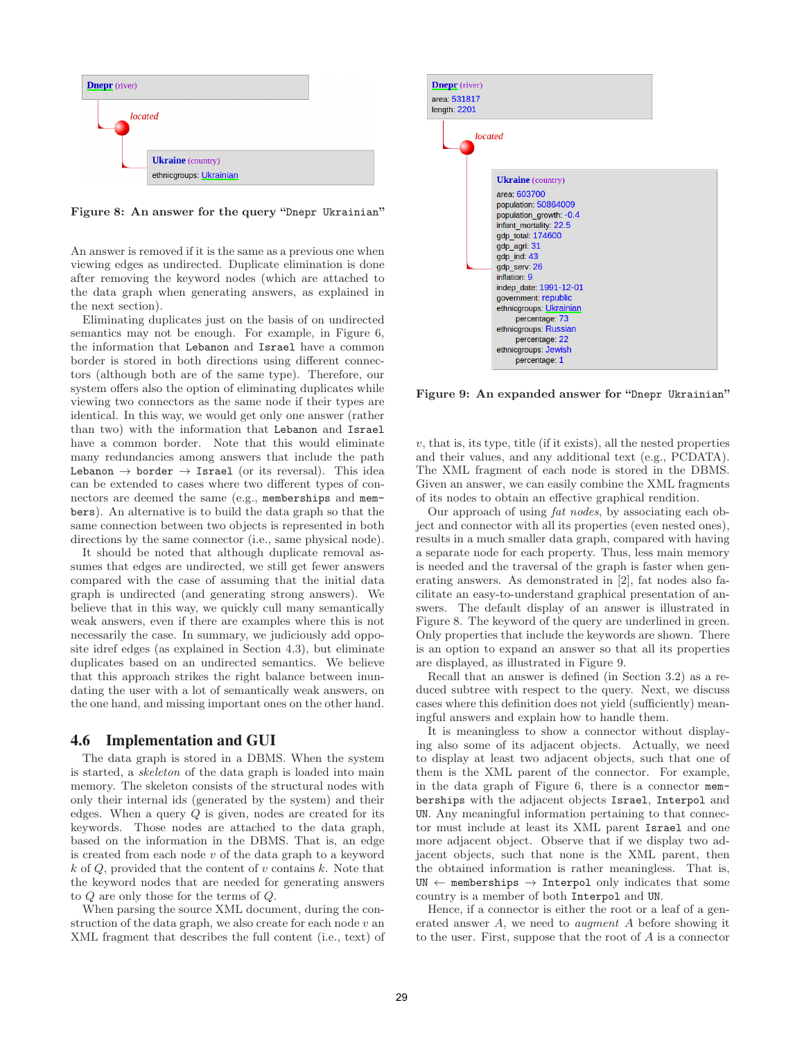

Figure 8: An answer for the query "Dnepr Ukrainian"

An answer is removed if it is the same as a previous one when viewing edges as undirected. Duplicate elimination is done after removing the keyword nodes (which are attached to the data graph when generating answers, as explained in the next section).

Eliminating duplicates just on the basis of on undirected semantics may not be enough. For example, in Figure 6, the information that Lebanon and Israel have a common border is stored in both directions using different connectors (although both are of the same type). Therefore, our system offers also the option of eliminating duplicates while viewing two connectors as the same node if their types are identical. In this way, we would get only one answer (rather than two) with the information that Lebanon and Israel have a common border. Note that this would eliminate many redundancies among answers that include the path Lebanon  $\rightarrow$  border  $\rightarrow$  Israel (or its reversal). This idea can be extended to cases where two different types of connectors are deemed the same (e.g., memberships and members). An alternative is to build the data graph so that the same connection between two objects is represented in both directions by the same connector (i.e., same physical node).

It should be noted that although duplicate removal assumes that edges are undirected, we still get fewer answers compared with the case of assuming that the initial data graph is undirected (and generating strong answers). We believe that in this way, we quickly cull many semantically weak answers, even if there are examples where this is not necessarily the case. In summary, we judiciously add opposite idref edges (as explained in Section 4.3), but eliminate duplicates based on an undirected semantics. We believe that this approach strikes the right balance between inundating the user with a lot of semantically weak answers, on the one hand, and missing important ones on the other hand.

## **4.6 Implementation and GUI**

The data graph is stored in a DBMS. When the system is started, a skeleton of the data graph is loaded into main memory. The skeleton consists of the structural nodes with only their internal ids (generated by the system) and their edges. When a query Q is given, nodes are created for its keywords. Those nodes are attached to the data graph, based on the information in the DBMS. That is, an edge is created from each node v of the data graph to a keyword  $k$  of  $Q$ , provided that the content of v contains  $k$ . Note that the keyword nodes that are needed for generating answers to Q are only those for the terms of Q.

When parsing the source XML document, during the construction of the data graph, we also create for each node  $v$  and XML fragment that describes the full content (i.e., text) of



Figure 9: An expanded answer for "Dnepr Ukrainian"

 $v$ , that is, its type, title (if it exists), all the nested properties and their values, and any additional text (e.g., PCDATA). The XML fragment of each node is stored in the DBMS. Given an answer, we can easily combine the XML fragments of its nodes to obtain an effective graphical rendition.

Our approach of using fat nodes, by associating each object and connector with all its properties (even nested ones), results in a much smaller data graph, compared with having a separate node for each property. Thus, less main memory is needed and the traversal of the graph is faster when generating answers. As demonstrated in [2], fat nodes also facilitate an easy-to-understand graphical presentation of answers. The default display of an answer is illustrated in Figure 8. The keyword of the query are underlined in green. Only properties that include the keywords are shown. There is an option to expand an answer so that all its properties are displayed, as illustrated in Figure 9.

Recall that an answer is defined (in Section 3.2) as a reduced subtree with respect to the query. Next, we discuss cases where this definition does not yield (sufficiently) meaningful answers and explain how to handle them.

It is meaningless to show a connector without displaying also some of its adjacent objects. Actually, we need to display at least two adjacent objects, such that one of them is the XML parent of the connector. For example, in the data graph of Figure 6, there is a connector memberships with the adjacent objects Israel, Interpol and UN. Any meaningful information pertaining to that connector must include at least its XML parent Israel and one more adjacent object. Observe that if we display two adjacent objects, such that none is the XML parent, then the obtained information is rather meaningless. That is,  $UN \leftarrow$  memberships  $\rightarrow$  Interpol only indicates that some country is a member of both Interpol and UN.

Hence, if a connector is either the root or a leaf of a generated answer A, we need to augment A before showing it to the user. First, suppose that the root of A is a connector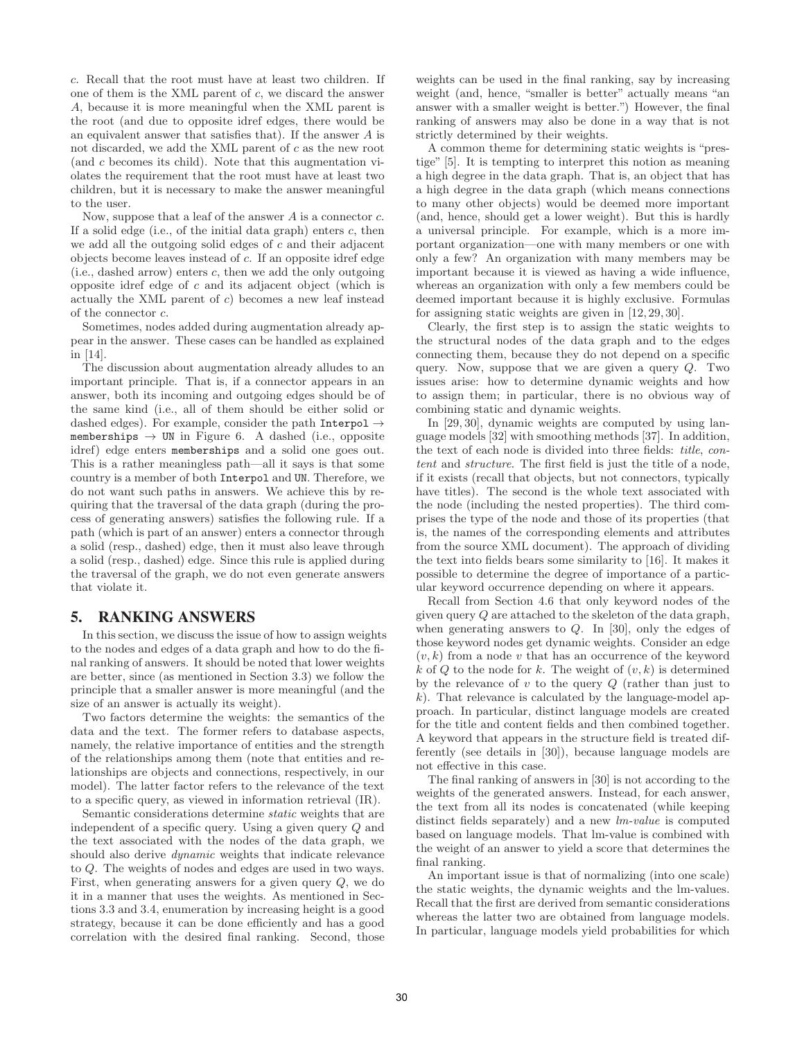c. Recall that the root must have at least two children. If one of them is the XML parent of c, we discard the answer A, because it is more meaningful when the XML parent is the root (and due to opposite idref edges, there would be an equivalent answer that satisfies that). If the answer A is not discarded, we add the XML parent of c as the new root (and c becomes its child). Note that this augmentation violates the requirement that the root must have at least two children, but it is necessary to make the answer meaningful to the user.

Now, suppose that a leaf of the answer  $A$  is a connector  $c$ . If a solid edge (i.e., of the initial data graph) enters  $c$ , then we add all the outgoing solid edges of  $c$  and their adjacent objects become leaves instead of c. If an opposite idref edge (i.e., dashed arrow) enters  $c$ , then we add the only outgoing opposite idref edge of c and its adjacent object (which is actually the XML parent of c) becomes a new leaf instead of the connector  $\boldsymbol{c}.$ 

Sometimes, nodes added during augmentation already appear in the answer. These cases can be handled as explained in [14].

The discussion about augmentation already alludes to an important principle. That is, if a connector appears in an answer, both its incoming and outgoing edges should be of the same kind (i.e., all of them should be either solid or dashed edges). For example, consider the path Interpol  $\rightarrow$ memberships  $\rightarrow$  UN in Figure 6. A dashed (i.e., opposite idref) edge enters memberships and a solid one goes out. This is a rather meaningless path—all it says is that some country is a member of both Interpol and UN. Therefore, we do not want such paths in answers. We achieve this by requiring that the traversal of the data graph (during the process of generating answers) satisfies the following rule. If a path (which is part of an answer) enters a connector through a solid (resp., dashed) edge, then it must also leave through a solid (resp., dashed) edge. Since this rule is applied during the traversal of the graph, we do not even generate answers that violate it.

## **5. RANKING ANSWERS**

In this section, we discuss the issue of how to assign weights to the nodes and edges of a data graph and how to do the final ranking of answers. It should be noted that lower weights are better, since (as mentioned in Section 3.3) we follow the principle that a smaller answer is more meaningful (and the size of an answer is actually its weight).

Two factors determine the weights: the semantics of the data and the text. The former refers to database aspects, namely, the relative importance of entities and the strength of the relationships among them (note that entities and relationships are objects and connections, respectively, in our model). The latter factor refers to the relevance of the text to a specific query, as viewed in information retrieval (IR).

Semantic considerations determine static weights that are independent of a specific query. Using a given query Q and the text associated with the nodes of the data graph, we should also derive *dynamic* weights that indicate relevance to Q. The weights of nodes and edges are used in two ways. First, when generating answers for a given query Q, we do it in a manner that uses the weights. As mentioned in Sections 3.3 and 3.4, enumeration by increasing height is a good strategy, because it can be done efficiently and has a good correlation with the desired final ranking. Second, those weights can be used in the final ranking, say by increasing weight (and, hence, "smaller is better" actually means "an answer with a smaller weight is better.") However, the final ranking of answers may also be done in a way that is not strictly determined by their weights.

A common theme for determining static weights is "prestige" [5]. It is tempting to interpret this notion as meaning a high degree in the data graph. That is, an object that has a high degree in the data graph (which means connections to many other objects) would be deemed more important (and, hence, should get a lower weight). But this is hardly a universal principle. For example, which is a more important organization—one with many members or one with only a few? An organization with many members may be important because it is viewed as having a wide influence, whereas an organization with only a few members could be deemed important because it is highly exclusive. Formulas for assigning static weights are given in [12, 29, 30].

Clearly, the first step is to assign the static weights to the structural nodes of the data graph and to the edges connecting them, because they do not depend on a specific query. Now, suppose that we are given a query  $Q$ . Two issues arise: how to determine dynamic weights and how to assign them; in particular, there is no obvious way of combining static and dynamic weights.

In [29, 30], dynamic weights are computed by using language models [32] with smoothing methods [37]. In addition, the text of each node is divided into three fields: title, content and structure. The first field is just the title of a node, if it exists (recall that objects, but not connectors, typically have titles). The second is the whole text associated with the node (including the nested properties). The third comprises the type of the node and those of its properties (that is, the names of the corresponding elements and attributes from the source XML document). The approach of dividing the text into fields bears some similarity to [16]. It makes it possible to determine the degree of importance of a particular keyword occurrence depending on where it appears.

Recall from Section 4.6 that only keyword nodes of the given query Q are attached to the skeleton of the data graph, when generating answers to Q. In [30], only the edges of those keyword nodes get dynamic weights. Consider an edge  $(v, k)$  from a node v that has an occurrence of the keyword k of Q to the node for k. The weight of  $(v, k)$  is determined by the relevance of  $v$  to the query  $Q$  (rather than just to  $k$ ). That relevance is calculated by the language-model approach. In particular, distinct language models are created for the title and content fields and then combined together. A keyword that appears in the structure field is treated differently (see details in [30]), because language models are not effective in this case.

The final ranking of answers in [30] is not according to the weights of the generated answers. Instead, for each answer, the text from all its nodes is concatenated (while keeping distinct fields separately) and a new *lm-value* is computed based on language models. That lm-value is combined with the weight of an answer to yield a score that determines the final ranking.

An important issue is that of normalizing (into one scale) the static weights, the dynamic weights and the lm-values. Recall that the first are derived from semantic considerations whereas the latter two are obtained from language models. In particular, language models yield probabilities for which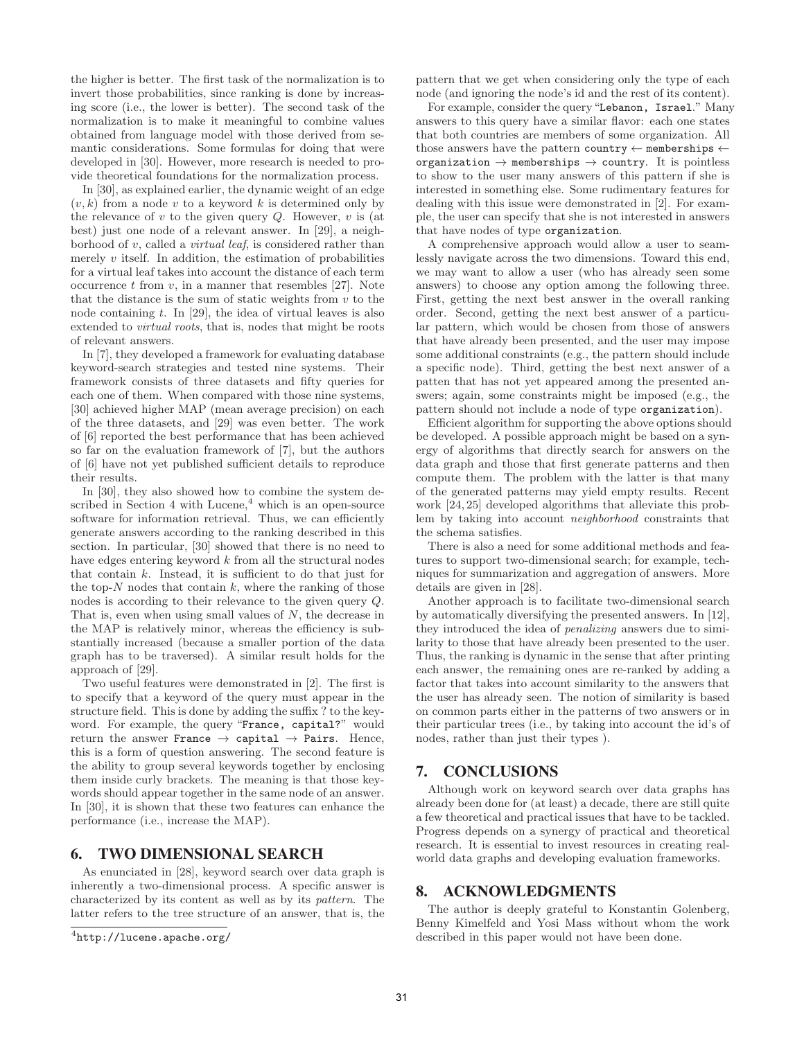the higher is better. The first task of the normalization is to invert those probabilities, since ranking is done by increasing score (i.e., the lower is better). The second task of the normalization is to make it meaningful to combine values obtained from language model with those derived from semantic considerations. Some formulas for doing that were developed in [30]. However, more research is needed to provide theoretical foundations for the normalization process.

In [30], as explained earlier, the dynamic weight of an edge  $(v, k)$  from a node v to a keyword k is determined only by the relevance of  $v$  to the given query  $Q$ . However,  $v$  is (at best) just one node of a relevant answer. In [29], a neighborhood of  $v$ , called a *virtual leaf*, is considered rather than merely  $v$  itself. In addition, the estimation of probabilities for a virtual leaf takes into account the distance of each term occurrence  $t$  from  $v$ , in a manner that resembles [27]. Note that the distance is the sum of static weights from  $v$  to the node containing  $t$ . In [29], the idea of virtual leaves is also extended to *virtual roots*, that is, nodes that might be roots of relevant answers.

In [7], they developed a framework for evaluating database keyword-search strategies and tested nine systems. Their framework consists of three datasets and fifty queries for each one of them. When compared with those nine systems, [30] achieved higher MAP (mean average precision) on each of the three datasets, and [29] was even better. The work of [6] reported the best performance that has been achieved so far on the evaluation framework of [7], but the authors of [6] have not yet published sufficient details to reproduce their results.

In [30], they also showed how to combine the system described in Section 4 with  $Lucene<sup>4</sup>$ , which is an open-source software for information retrieval. Thus, we can efficiently generate answers according to the ranking described in this section. In particular, [30] showed that there is no need to have edges entering keyword  $k$  from all the structural nodes that contain  $k$ . Instead, it is sufficient to do that just for the top- $N$  nodes that contain  $k$ , where the ranking of those nodes is according to their relevance to the given query Q. That is, even when using small values of  $N$ , the decrease in the MAP is relatively minor, whereas the efficiency is substantially increased (because a smaller portion of the data graph has to be traversed). A similar result holds for the approach of [29].

Two useful features were demonstrated in [2]. The first is to specify that a keyword of the query must appear in the structure field. This is done by adding the suffix ? to the keyword. For example, the query "France, capital?" would return the answer France  $\rightarrow$  capital  $\rightarrow$  Pairs. Hence, this is a form of question answering. The second feature is the ability to group several keywords together by enclosing them inside curly brackets. The meaning is that those keywords should appear together in the same node of an answer. In [30], it is shown that these two features can enhance the performance (i.e., increase the MAP).

#### **6. TWO DIMENSIONAL SEARCH**

As enunciated in [28], keyword search over data graph is inherently a two-dimensional process. A specific answer is characterized by its content as well as by its pattern. The latter refers to the tree structure of an answer, that is, the pattern that we get when considering only the type of each node (and ignoring the node's id and the rest of its content).

For example, consider the query"Lebanon, Israel." Many answers to this query have a similar flavor: each one states that both countries are members of some organization. All those answers have the pattern country  $\leftarrow$  memberships  $\leftarrow$ organization  $\rightarrow$  memberships  $\rightarrow$  country. It is pointless to show to the user many answers of this pattern if she is interested in something else. Some rudimentary features for dealing with this issue were demonstrated in [2]. For example, the user can specify that she is not interested in answers that have nodes of type organization.

A comprehensive approach would allow a user to seamlessly navigate across the two dimensions. Toward this end, we may want to allow a user (who has already seen some answers) to choose any option among the following three. First, getting the next best answer in the overall ranking order. Second, getting the next best answer of a particular pattern, which would be chosen from those of answers that have already been presented, and the user may impose some additional constraints (e.g., the pattern should include a specific node). Third, getting the best next answer of a patten that has not yet appeared among the presented answers; again, some constraints might be imposed (e.g., the pattern should not include a node of type organization).

Efficient algorithm for supporting the above options should be developed. A possible approach might be based on a synergy of algorithms that directly search for answers on the data graph and those that first generate patterns and then compute them. The problem with the latter is that many of the generated patterns may yield empty results. Recent work [24, 25] developed algorithms that alleviate this problem by taking into account neighborhood constraints that the schema satisfies.

There is also a need for some additional methods and features to support two-dimensional search; for example, techniques for summarization and aggregation of answers. More details are given in [28].

Another approach is to facilitate two-dimensional search by automatically diversifying the presented answers. In [12], they introduced the idea of penalizing answers due to similarity to those that have already been presented to the user. Thus, the ranking is dynamic in the sense that after printing each answer, the remaining ones are re-ranked by adding a factor that takes into account similarity to the answers that the user has already seen. The notion of similarity is based on common parts either in the patterns of two answers or in their particular trees (i.e., by taking into account the id's of nodes, rather than just their types ).

# **7. CONCLUSIONS**

Although work on keyword search over data graphs has already been done for (at least) a decade, there are still quite a few theoretical and practical issues that have to be tackled. Progress depends on a synergy of practical and theoretical research. It is essential to invest resources in creating realworld data graphs and developing evaluation frameworks.

## **8. ACKNOWLEDGMENTS**

The author is deeply grateful to Konstantin Golenberg, Benny Kimelfeld and Yosi Mass without whom the work described in this paper would not have been done.

 $^4$ http://lucene.apache.org/